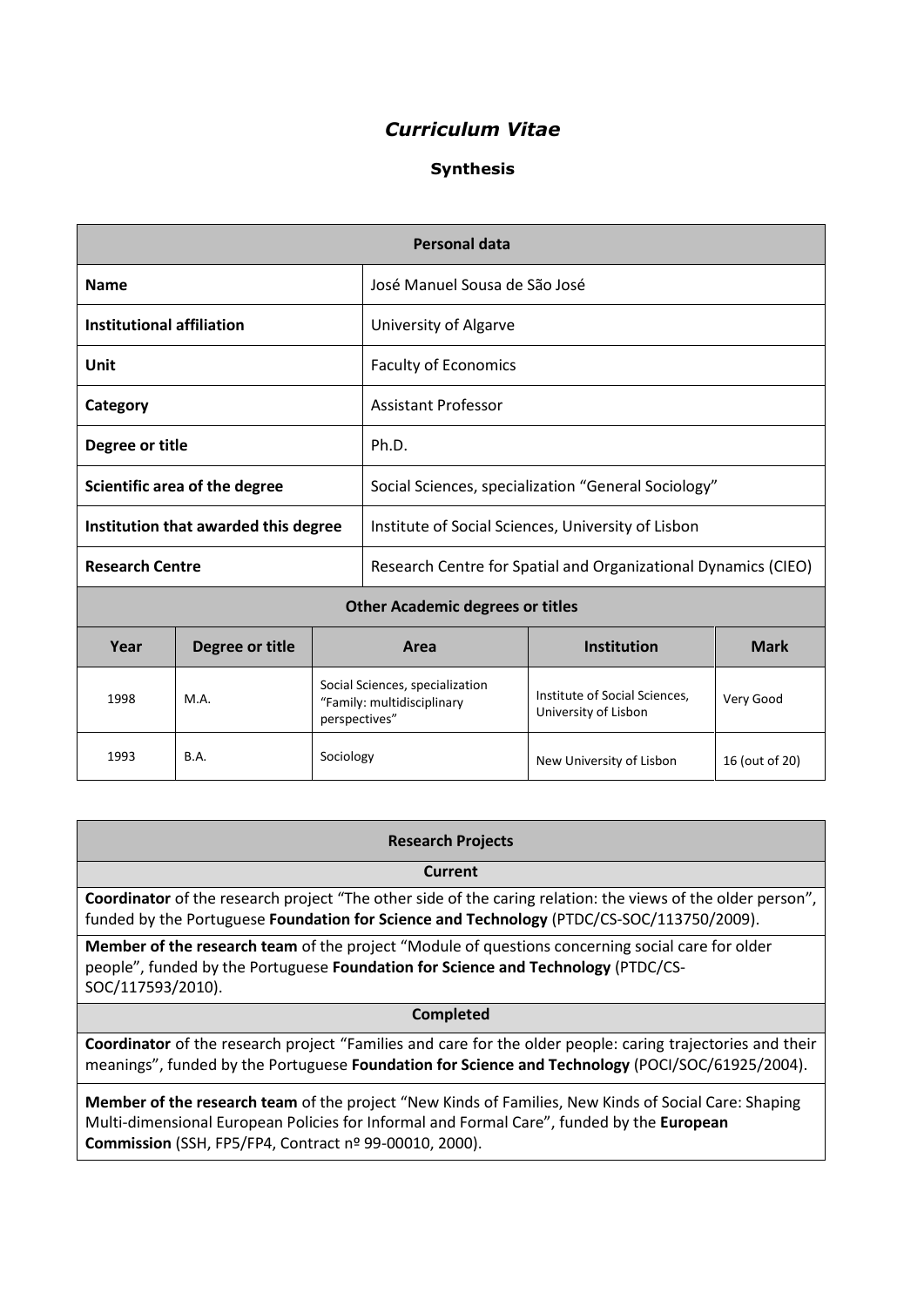# *Curriculum Vitae*

## **Synthesis**

| Personal data                           |                 |                                                                                |                                                                |                                                       |                |
|-----------------------------------------|-----------------|--------------------------------------------------------------------------------|----------------------------------------------------------------|-------------------------------------------------------|----------------|
| <b>Name</b>                             |                 |                                                                                | José Manuel Sousa de São José                                  |                                                       |                |
| <b>Institutional affiliation</b>        |                 |                                                                                | University of Algarve                                          |                                                       |                |
| Unit                                    |                 |                                                                                | <b>Faculty of Economics</b>                                    |                                                       |                |
| Category                                |                 |                                                                                | <b>Assistant Professor</b>                                     |                                                       |                |
| Degree or title                         |                 |                                                                                | Ph.D.                                                          |                                                       |                |
| Scientific area of the degree           |                 |                                                                                | Social Sciences, specialization "General Sociology"            |                                                       |                |
| Institution that awarded this degree    |                 |                                                                                | Institute of Social Sciences, University of Lisbon             |                                                       |                |
| <b>Research Centre</b>                  |                 |                                                                                | Research Centre for Spatial and Organizational Dynamics (CIEO) |                                                       |                |
| <b>Other Academic degrees or titles</b> |                 |                                                                                |                                                                |                                                       |                |
| Year                                    | Degree or title |                                                                                | Area                                                           | <b>Institution</b>                                    | <b>Mark</b>    |
| 1998                                    | M.A.            | Social Sciences, specialization<br>"Family: multidisciplinary<br>perspectives" |                                                                | Institute of Social Sciences,<br>University of Lisbon | Very Good      |
| 1993                                    | <b>B.A.</b>     | Sociology                                                                      |                                                                | New University of Lisbon                              | 16 (out of 20) |

#### **Research Projects**

**Current**

**Coordinator** of the research project "The other side of the caring relation: the views of the older person", funded by the Portuguese **Foundation for Science and Technology** (PTDC/CS-SOC/113750/2009).

**Member of the research team** of the project "Module of questions concerning social care for older people", funded by the Portuguese **Foundation for Science and Technology** (PTDC/CS-SOC/117593/2010).

#### **Completed**

**Coordinator** of the research project "Families and care for the older people: caring trajectories and their meanings", funded by the Portuguese **Foundation for Science and Technology** (POCI/SOC/61925/2004).

**Member of the research team** of the project "New Kinds of Families, New Kinds of Social Care: Shaping Multi-dimensional European Policies for Informal and Formal Care", funded by the **European Commission** (SSH, FP5/FP4, Contract nº 99-00010, 2000).